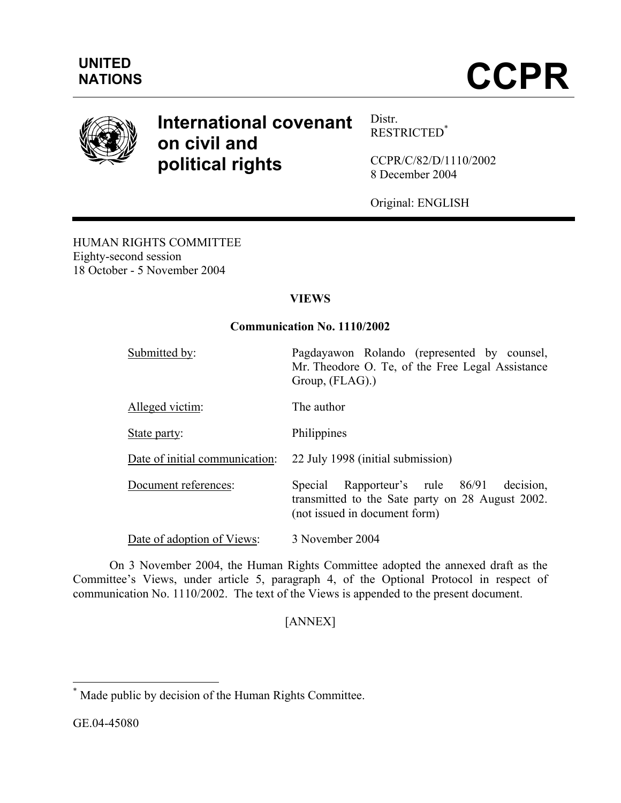

# **International covenant on civil and political rights**

Distr. RESTRICTED\*

CCPR/C/82/D/1110/2002 8 December 2004

Original: ENGLISH

HUMAN RIGHTS COMMITTEE Eighty-second session 18 October - 5 November 2004

# **VIEWS**

# **Communication No. 1110/2002**

| Submitted by:                  | Pagdayawon Rolando (represented by counsel,<br>Mr. Theodore O. Te, of the Free Legal Assistance<br>Group, (FLAG).)                |
|--------------------------------|-----------------------------------------------------------------------------------------------------------------------------------|
| Alleged victim:                | The author                                                                                                                        |
| State party:                   | Philippines                                                                                                                       |
| Date of initial communication: | 22 July 1998 (initial submission)                                                                                                 |
| Document references:           | decision.<br>Special Rapporteur's rule 86/91<br>transmitted to the Sate party on 28 August 2002.<br>(not issued in document form) |
| Date of adoption of Views:     | 3 November 2004                                                                                                                   |

 On 3 November 2004, the Human Rights Committee adopted the annexed draft as the Committee's Views, under article 5, paragraph 4, of the Optional Protocol in respect of communication No. 1110/2002. The text of the Views is appended to the present document.

# [ANNEX]

 $\overline{a}$ 

<sup>\*</sup> Made public by decision of the Human Rights Committee.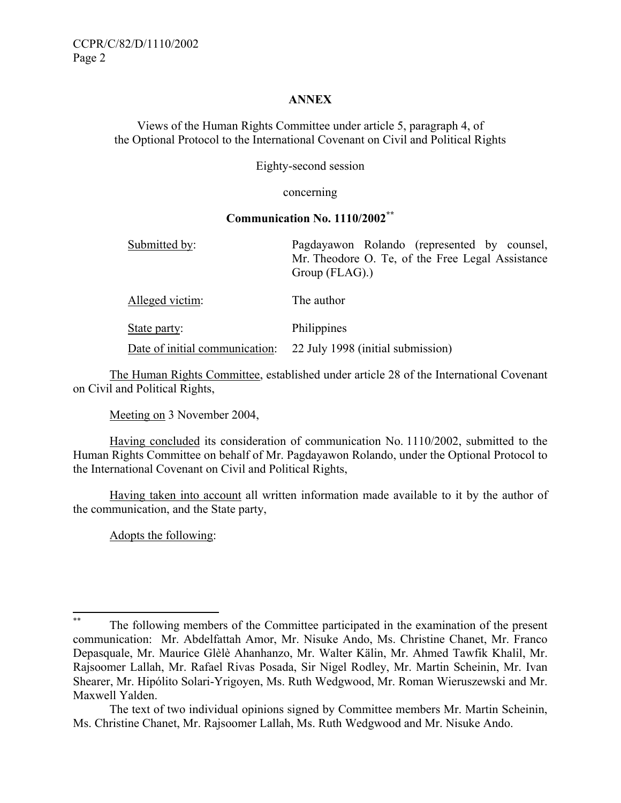# **ANNEX**

Views of the Human Rights Committee under article 5, paragraph 4, of the Optional Protocol to the International Covenant on Civil and Political Rights

Eighty-second session

concerning

## **Communication No. 1110/2002\*\***

| Submitted by:                  | Pagdayawon Rolando (represented by counsel,<br>Mr. Theodore O. Te, of the Free Legal Assistance<br>Group (FLAG). |
|--------------------------------|------------------------------------------------------------------------------------------------------------------|
| Alleged victim:                | The author                                                                                                       |
| State party:                   | Philippines                                                                                                      |
| Date of initial communication: | 22 July 1998 (initial submission)                                                                                |

The Human Rights Committee, established under article 28 of the International Covenant on Civil and Political Rights,

Meeting on 3 November 2004,

 Having concluded its consideration of communication No. 1110/2002, submitted to the Human Rights Committee on behalf of Mr. Pagdayawon Rolando, under the Optional Protocol to the International Covenant on Civil and Political Rights,

 Having taken into account all written information made available to it by the author of the communication, and the State party,

Adopts the following:

 $**$ The following members of the Committee participated in the examination of the present communication: Mr. Abdelfattah Amor, Mr. Nisuke Ando, Ms. Christine Chanet, Mr. Franco Depasquale, Mr. Maurice Glèlè Ahanhanzo, Mr. Walter Kälin, Mr. Ahmed Tawfik Khalil, Mr. Rajsoomer Lallah, Mr. Rafael Rivas Posada, Sir Nigel Rodley, Mr. Martin Scheinin, Mr. Ivan Shearer, Mr. Hipólito Solari-Yrigoyen, Ms. Ruth Wedgwood, Mr. Roman Wieruszewski and Mr. Maxwell Yalden.

The text of two individual opinions signed by Committee members Mr. Martin Scheinin, Ms. Christine Chanet, Mr. Rajsoomer Lallah, Ms. Ruth Wedgwood and Mr. Nisuke Ando.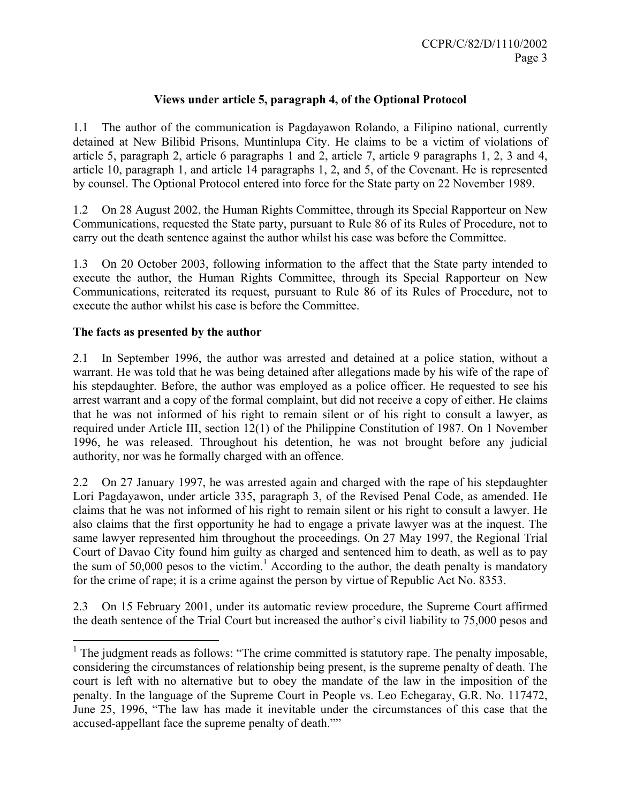# **Views under article 5, paragraph 4, of the Optional Protocol**

1.1 The author of the communication is Pagdayawon Rolando, a Filipino national, currently detained at New Bilibid Prisons, Muntinlupa City. He claims to be a victim of violations of article 5, paragraph 2, article 6 paragraphs 1 and 2, article 7, article 9 paragraphs 1, 2, 3 and 4, article 10, paragraph 1, and article 14 paragraphs 1, 2, and 5, of the Covenant. He is represented by counsel. The Optional Protocol entered into force for the State party on 22 November 1989.

1.2 On 28 August 2002, the Human Rights Committee, through its Special Rapporteur on New Communications, requested the State party, pursuant to Rule 86 of its Rules of Procedure, not to carry out the death sentence against the author whilst his case was before the Committee.

1.3 On 20 October 2003, following information to the affect that the State party intended to execute the author, the Human Rights Committee, through its Special Rapporteur on New Communications, reiterated its request, pursuant to Rule 86 of its Rules of Procedure, not to execute the author whilst his case is before the Committee.

## **The facts as presented by the author**

2.1 In September 1996, the author was arrested and detained at a police station, without a warrant. He was told that he was being detained after allegations made by his wife of the rape of his stepdaughter. Before, the author was employed as a police officer. He requested to see his arrest warrant and a copy of the formal complaint, but did not receive a copy of either. He claims that he was not informed of his right to remain silent or of his right to consult a lawyer, as required under Article III, section 12(1) of the Philippine Constitution of 1987. On 1 November 1996, he was released. Throughout his detention, he was not brought before any judicial authority, nor was he formally charged with an offence.

2.2 On 27 January 1997, he was arrested again and charged with the rape of his stepdaughter Lori Pagdayawon, under article 335, paragraph 3, of the Revised Penal Code, as amended. He claims that he was not informed of his right to remain silent or his right to consult a lawyer. He also claims that the first opportunity he had to engage a private lawyer was at the inquest. The same lawyer represented him throughout the proceedings. On 27 May 1997, the Regional Trial Court of Davao City found him guilty as charged and sentenced him to death, as well as to pay the sum of 50,000 pesos to the victim.<sup>1</sup> According to the author, the death penalty is mandatory for the crime of rape; it is a crime against the person by virtue of Republic Act No. 8353.

2.3 On 15 February 2001, under its automatic review procedure, the Supreme Court affirmed the death sentence of the Trial Court but increased the author's civil liability to 75,000 pesos and

<sup>&</sup>lt;sup>1</sup> The judgment reads as follows: "The crime committed is statutory rape. The penalty imposable, considering the circumstances of relationship being present, is the supreme penalty of death. The court is left with no alternative but to obey the mandate of the law in the imposition of the penalty. In the language of the Supreme Court in People vs. Leo Echegaray, G.R. No. 117472, June 25, 1996, "The law has made it inevitable under the circumstances of this case that the accused-appellant face the supreme penalty of death.""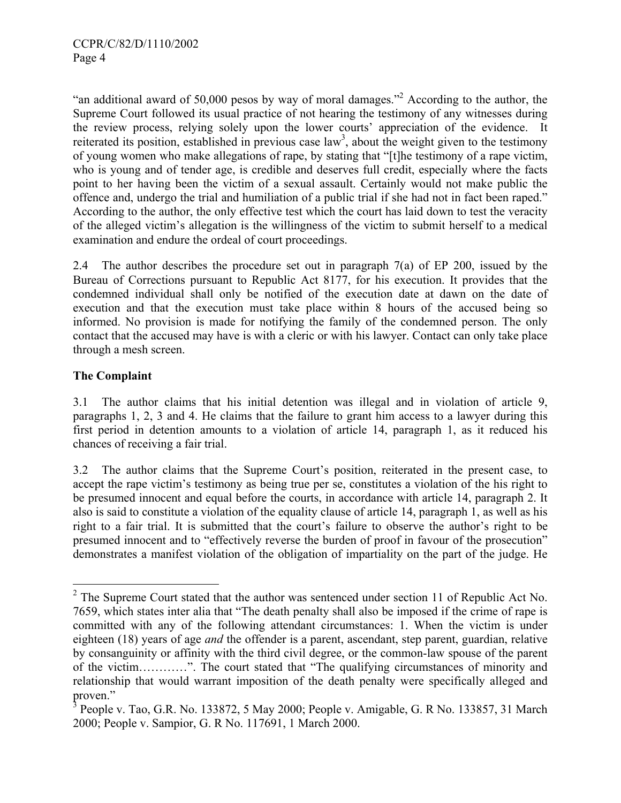"an additional award of 50,000 pesos by way of moral damages."<sup>2</sup> According to the author, the Supreme Court followed its usual practice of not hearing the testimony of any witnesses during the review process, relying solely upon the lower courts' appreciation of the evidence. It reiterated its position, established in previous case  $law<sup>3</sup>$ , about the weight given to the testimony of young women who make allegations of rape, by stating that "[t]he testimony of a rape victim, who is young and of tender age, is credible and deserves full credit, especially where the facts point to her having been the victim of a sexual assault. Certainly would not make public the offence and, undergo the trial and humiliation of a public trial if she had not in fact been raped." According to the author, the only effective test which the court has laid down to test the veracity of the alleged victim's allegation is the willingness of the victim to submit herself to a medical examination and endure the ordeal of court proceedings.

2.4 The author describes the procedure set out in paragraph 7(a) of EP 200, issued by the Bureau of Corrections pursuant to Republic Act 8177, for his execution. It provides that the condemned individual shall only be notified of the execution date at dawn on the date of execution and that the execution must take place within 8 hours of the accused being so informed. No provision is made for notifying the family of the condemned person. The only contact that the accused may have is with a cleric or with his lawyer. Contact can only take place through a mesh screen.

# **The Complaint**

1

3.1 The author claims that his initial detention was illegal and in violation of article 9, paragraphs 1, 2, 3 and 4. He claims that the failure to grant him access to a lawyer during this first period in detention amounts to a violation of article 14, paragraph 1, as it reduced his chances of receiving a fair trial.

3.2 The author claims that the Supreme Court's position, reiterated in the present case, to accept the rape victim's testimony as being true per se, constitutes a violation of the his right to be presumed innocent and equal before the courts, in accordance with article 14, paragraph 2. It also is said to constitute a violation of the equality clause of article 14, paragraph 1, as well as his right to a fair trial. It is submitted that the court's failure to observe the author's right to be presumed innocent and to "effectively reverse the burden of proof in favour of the prosecution" demonstrates a manifest violation of the obligation of impartiality on the part of the judge. He

 $2^2$  The Supreme Court stated that the author was sentenced under section 11 of Republic Act No. 7659, which states inter alia that "The death penalty shall also be imposed if the crime of rape is committed with any of the following attendant circumstances: 1. When the victim is under eighteen (18) years of age *and* the offender is a parent, ascendant, step parent, guardian, relative by consanguinity or affinity with the third civil degree, or the common-law spouse of the parent of the victim…………". The court stated that "The qualifying circumstances of minority and relationship that would warrant imposition of the death penalty were specifically alleged and proven."

<sup>&</sup>lt;sup>3</sup> People v. Tao, G.R. No. 133872, 5 May 2000; People v. Amigable, G. R No. 133857, 31 March 2000; People v. Sampior, G. R No. 117691, 1 March 2000.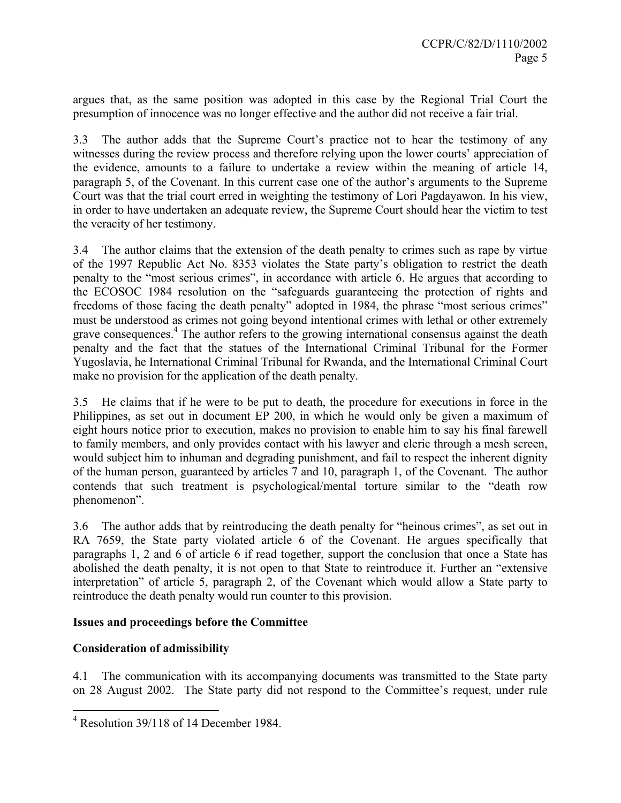argues that, as the same position was adopted in this case by the Regional Trial Court the presumption of innocence was no longer effective and the author did not receive a fair trial.

3.3 The author adds that the Supreme Court's practice not to hear the testimony of any witnesses during the review process and therefore relying upon the lower courts' appreciation of the evidence, amounts to a failure to undertake a review within the meaning of article 14, paragraph 5, of the Covenant. In this current case one of the author's arguments to the Supreme Court was that the trial court erred in weighting the testimony of Lori Pagdayawon. In his view, in order to have undertaken an adequate review, the Supreme Court should hear the victim to test the veracity of her testimony.

3.4 The author claims that the extension of the death penalty to crimes such as rape by virtue of the 1997 Republic Act No. 8353 violates the State party's obligation to restrict the death penalty to the "most serious crimes", in accordance with article 6. He argues that according to the ECOSOC 1984 resolution on the "safeguards guaranteeing the protection of rights and freedoms of those facing the death penalty" adopted in 1984, the phrase "most serious crimes" must be understood as crimes not going beyond intentional crimes with lethal or other extremely grave consequences.<sup>4</sup> The author refers to the growing international consensus against the death penalty and the fact that the statues of the International Criminal Tribunal for the Former Yugoslavia, he International Criminal Tribunal for Rwanda, and the International Criminal Court make no provision for the application of the death penalty.

3.5 He claims that if he were to be put to death, the procedure for executions in force in the Philippines, as set out in document EP 200, in which he would only be given a maximum of eight hours notice prior to execution, makes no provision to enable him to say his final farewell to family members, and only provides contact with his lawyer and cleric through a mesh screen, would subject him to inhuman and degrading punishment, and fail to respect the inherent dignity of the human person, guaranteed by articles 7 and 10, paragraph 1, of the Covenant. The author contends that such treatment is psychological/mental torture similar to the "death row phenomenon".

3.6 The author adds that by reintroducing the death penalty for "heinous crimes", as set out in RA 7659, the State party violated article 6 of the Covenant. He argues specifically that paragraphs 1, 2 and 6 of article 6 if read together, support the conclusion that once a State has abolished the death penalty, it is not open to that State to reintroduce it. Further an "extensive interpretation" of article 5, paragraph 2, of the Covenant which would allow a State party to reintroduce the death penalty would run counter to this provision.

# **Issues and proceedings before the Committee**

# **Consideration of admissibility**

 $\overline{a}$ 

4.1 The communication with its accompanying documents was transmitted to the State party on 28 August 2002. The State party did not respond to the Committee's request, under rule

<sup>&</sup>lt;sup>4</sup> Resolution 39/118 of 14 December 1984.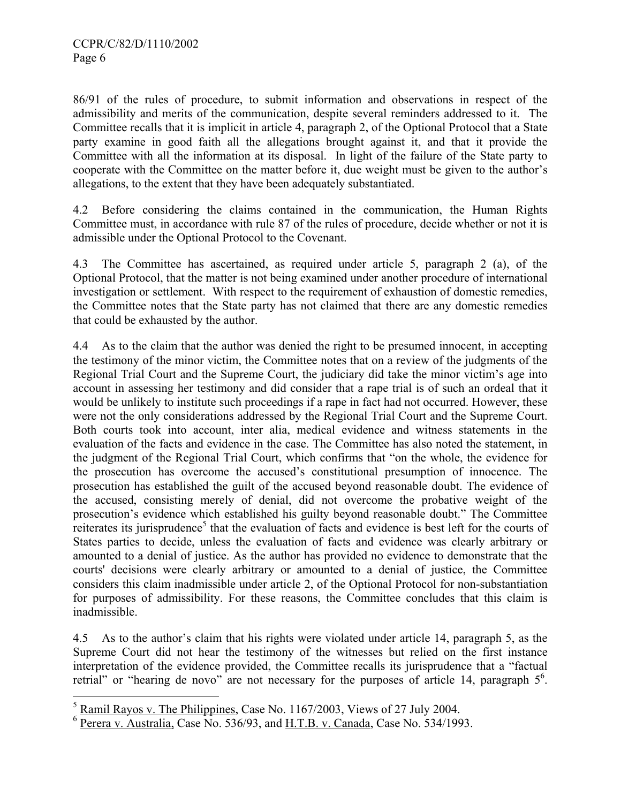86/91 of the rules of procedure, to submit information and observations in respect of the admissibility and merits of the communication, despite several reminders addressed to it. The Committee recalls that it is implicit in article 4, paragraph 2, of the Optional Protocol that a State party examine in good faith all the allegations brought against it, and that it provide the Committee with all the information at its disposal. In light of the failure of the State party to cooperate with the Committee on the matter before it, due weight must be given to the author's allegations, to the extent that they have been adequately substantiated.

4.2 Before considering the claims contained in the communication, the Human Rights Committee must, in accordance with rule 87 of the rules of procedure, decide whether or not it is admissible under the Optional Protocol to the Covenant.

4.3 The Committee has ascertained, as required under article 5, paragraph 2 (a), of the Optional Protocol, that the matter is not being examined under another procedure of international investigation or settlement. With respect to the requirement of exhaustion of domestic remedies, the Committee notes that the State party has not claimed that there are any domestic remedies that could be exhausted by the author.

4.4 As to the claim that the author was denied the right to be presumed innocent, in accepting the testimony of the minor victim, the Committee notes that on a review of the judgments of the Regional Trial Court and the Supreme Court, the judiciary did take the minor victim's age into account in assessing her testimony and did consider that a rape trial is of such an ordeal that it would be unlikely to institute such proceedings if a rape in fact had not occurred. However, these were not the only considerations addressed by the Regional Trial Court and the Supreme Court. Both courts took into account, inter alia, medical evidence and witness statements in the evaluation of the facts and evidence in the case. The Committee has also noted the statement, in the judgment of the Regional Trial Court, which confirms that "on the whole, the evidence for the prosecution has overcome the accused's constitutional presumption of innocence. The prosecution has established the guilt of the accused beyond reasonable doubt. The evidence of the accused, consisting merely of denial, did not overcome the probative weight of the prosecution's evidence which established his guilty beyond reasonable doubt." The Committee reiterates its jurisprudence<sup>5</sup> that the evaluation of facts and evidence is best left for the courts of States parties to decide, unless the evaluation of facts and evidence was clearly arbitrary or amounted to a denial of justice. As the author has provided no evidence to demonstrate that the courts' decisions were clearly arbitrary or amounted to a denial of justice, the Committee considers this claim inadmissible under article 2, of the Optional Protocol for non-substantiation for purposes of admissibility. For these reasons, the Committee concludes that this claim is inadmissible.

4.5 As to the author's claim that his rights were violated under article 14, paragraph 5, as the Supreme Court did not hear the testimony of the witnesses but relied on the first instance interpretation of the evidence provided, the Committee recalls its jurisprudence that a "factual retrial" or "hearing de novo" are not necessary for the purposes of article 14, paragraph  $5<sup>6</sup>$ .

<sup>&</sup>lt;sup>5</sup> Ramil Rayos v. The Philippines, Case No. 1167/2003, Views of 27 July 2004.

 $6$  Perera v. Australia, Case No. 536/93, and H.T.B. v. Canada, Case No. 534/1993.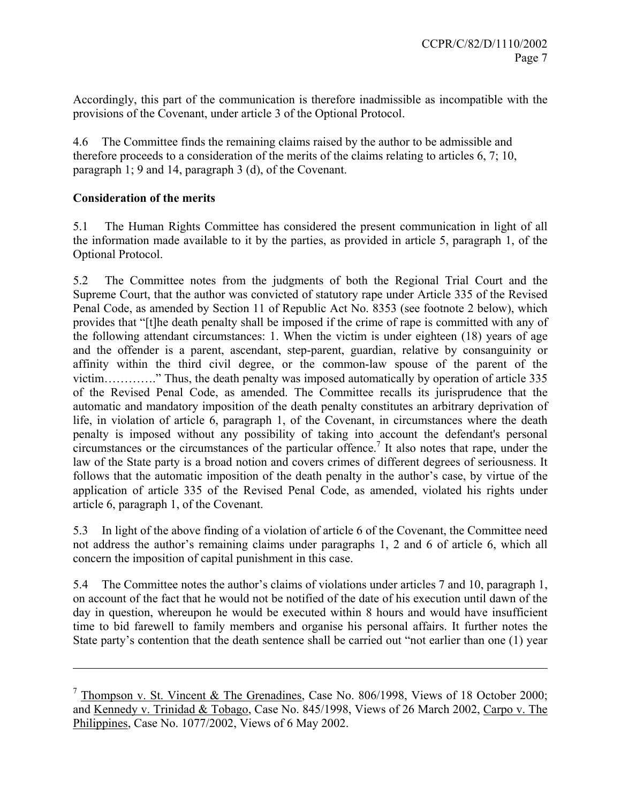Accordingly, this part of the communication is therefore inadmissible as incompatible with the provisions of the Covenant, under article 3 of the Optional Protocol.

4.6 The Committee finds the remaining claims raised by the author to be admissible and therefore proceeds to a consideration of the merits of the claims relating to articles 6, 7; 10, paragraph 1; 9 and 14, paragraph 3 (d), of the Covenant.

# **Consideration of the merits**

 $\overline{a}$ 

5.1 The Human Rights Committee has considered the present communication in light of all the information made available to it by the parties, as provided in article 5, paragraph 1, of the Optional Protocol.

5.2 The Committee notes from the judgments of both the Regional Trial Court and the Supreme Court, that the author was convicted of statutory rape under Article 335 of the Revised Penal Code, as amended by Section 11 of Republic Act No. 8353 (see footnote 2 below), which provides that "[t]he death penalty shall be imposed if the crime of rape is committed with any of the following attendant circumstances: 1. When the victim is under eighteen (18) years of age and the offender is a parent, ascendant, step-parent, guardian, relative by consanguinity or affinity within the third civil degree, or the common-law spouse of the parent of the victim…………." Thus, the death penalty was imposed automatically by operation of article 335 of the Revised Penal Code, as amended. The Committee recalls its jurisprudence that the automatic and mandatory imposition of the death penalty constitutes an arbitrary deprivation of life, in violation of article 6, paragraph 1, of the Covenant, in circumstances where the death penalty is imposed without any possibility of taking into account the defendant's personal  $circumstances$  or the circumstances of the particular offence.<sup>7</sup> It also notes that rape, under the law of the State party is a broad notion and covers crimes of different degrees of seriousness. It follows that the automatic imposition of the death penalty in the author's case, by virtue of the application of article 335 of the Revised Penal Code, as amended, violated his rights under article 6, paragraph 1, of the Covenant.

5.3 In light of the above finding of a violation of article 6 of the Covenant, the Committee need not address the author's remaining claims under paragraphs 1, 2 and 6 of article 6, which all concern the imposition of capital punishment in this case.

5.4 The Committee notes the author's claims of violations under articles 7 and 10, paragraph 1, on account of the fact that he would not be notified of the date of his execution until dawn of the day in question, whereupon he would be executed within 8 hours and would have insufficient time to bid farewell to family members and organise his personal affairs. It further notes the State party's contention that the death sentence shall be carried out "not earlier than one (1) year

 $7$  Thompson v. St. Vincent & The Grenadines, Case No. 806/1998, Views of 18 October 2000; and Kennedy v. Trinidad & Tobago, Case No. 845/1998, Views of 26 March 2002, Carpo v. The Philippines, Case No. 1077/2002, Views of 6 May 2002.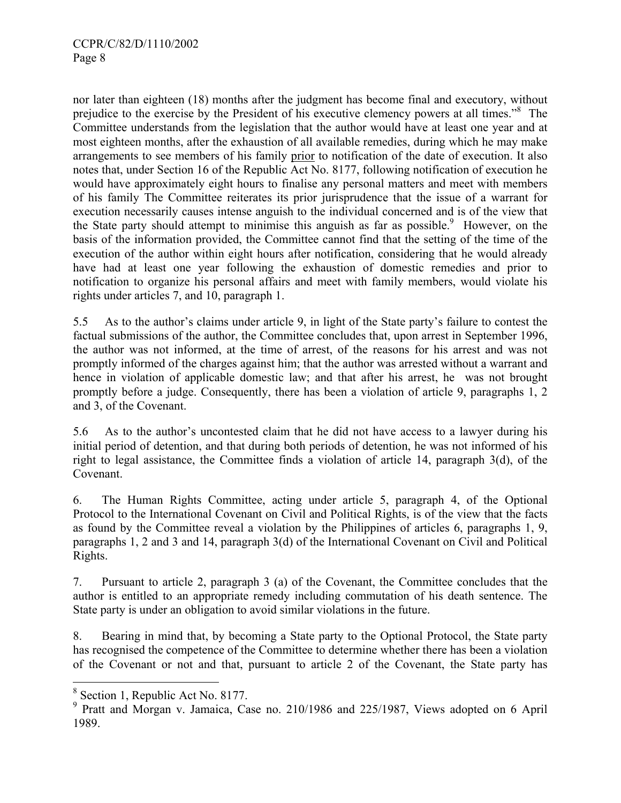nor later than eighteen (18) months after the judgment has become final and executory, without prejudice to the exercise by the President of his executive clemency powers at all times."<sup>8</sup> The Committee understands from the legislation that the author would have at least one year and at most eighteen months, after the exhaustion of all available remedies, during which he may make arrangements to see members of his family prior to notification of the date of execution. It also notes that, under Section 16 of the Republic Act No. 8177, following notification of execution he would have approximately eight hours to finalise any personal matters and meet with members of his family The Committee reiterates its prior jurisprudence that the issue of a warrant for execution necessarily causes intense anguish to the individual concerned and is of the view that the State party should attempt to minimise this anguish as far as possible.<sup>9</sup> However, on the basis of the information provided, the Committee cannot find that the setting of the time of the execution of the author within eight hours after notification, considering that he would already have had at least one year following the exhaustion of domestic remedies and prior to notification to organize his personal affairs and meet with family members, would violate his rights under articles 7, and 10, paragraph 1.

5.5 As to the author's claims under article 9, in light of the State party's failure to contest the factual submissions of the author, the Committee concludes that, upon arrest in September 1996, the author was not informed, at the time of arrest, of the reasons for his arrest and was not promptly informed of the charges against him; that the author was arrested without a warrant and hence in violation of applicable domestic law; and that after his arrest, he was not brought promptly before a judge. Consequently, there has been a violation of article 9, paragraphs 1, 2 and 3, of the Covenant.

5.6 As to the author's uncontested claim that he did not have access to a lawyer during his initial period of detention, and that during both periods of detention, he was not informed of his right to legal assistance, the Committee finds a violation of article 14, paragraph 3(d), of the Covenant.

6. The Human Rights Committee, acting under article 5, paragraph 4, of the Optional Protocol to the International Covenant on Civil and Political Rights, is of the view that the facts as found by the Committee reveal a violation by the Philippines of articles 6, paragraphs 1, 9, paragraphs 1, 2 and 3 and 14, paragraph 3(d) of the International Covenant on Civil and Political Rights.

7. Pursuant to article 2, paragraph 3 (a) of the Covenant, the Committee concludes that the author is entitled to an appropriate remedy including commutation of his death sentence. The State party is under an obligation to avoid similar violations in the future.

8. Bearing in mind that, by becoming a State party to the Optional Protocol, the State party has recognised the competence of the Committee to determine whether there has been a violation of the Covenant or not and that, pursuant to article 2 of the Covenant, the State party has

<sup>&</sup>lt;sup>8</sup> Section 1, Republic Act No. 8177.

<sup>&</sup>lt;sup>9</sup> Pratt and Morgan v. Jamaica, Case no. 210/1986 and 225/1987, Views adopted on 6 April 1989.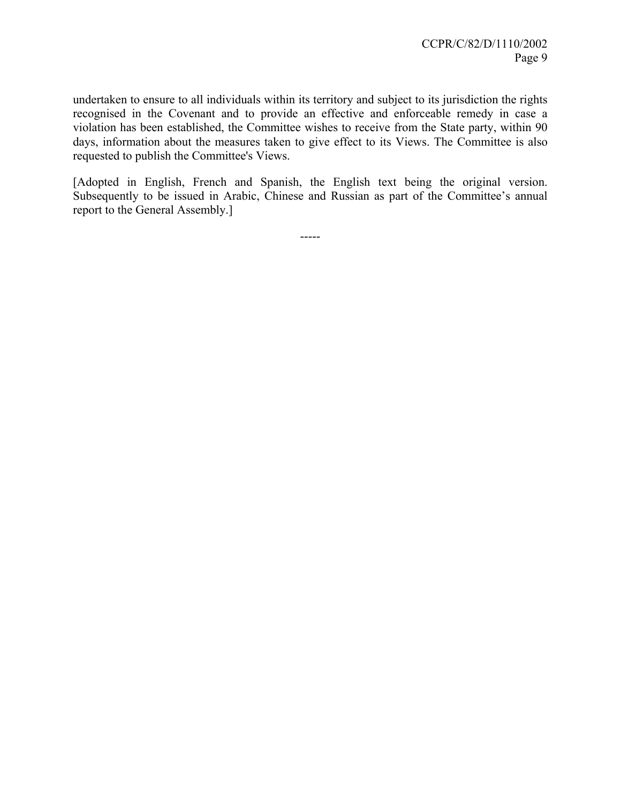undertaken to ensure to all individuals within its territory and subject to its jurisdiction the rights recognised in the Covenant and to provide an effective and enforceable remedy in case a violation has been established, the Committee wishes to receive from the State party, within 90 days, information about the measures taken to give effect to its Views. The Committee is also requested to publish the Committee's Views.

[Adopted in English, French and Spanish, the English text being the original version. Subsequently to be issued in Arabic, Chinese and Russian as part of the Committee's annual report to the General Assembly.]

-----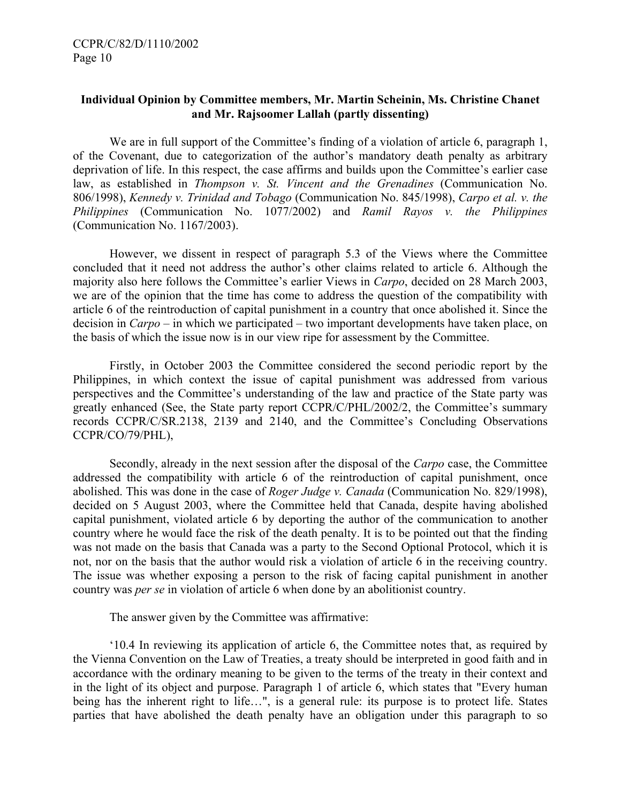# **Individual Opinion by Committee members, Mr. Martin Scheinin, Ms. Christine Chanet and Mr. Rajsoomer Lallah (partly dissenting)**

We are in full support of the Committee's finding of a violation of article 6, paragraph 1, of the Covenant, due to categorization of the author's mandatory death penalty as arbitrary deprivation of life. In this respect, the case affirms and builds upon the Committee's earlier case law, as established in *Thompson v. St. Vincent and the Grenadines* (Communication No. 806/1998), *Kennedy v. Trinidad and Tobago* (Communication No. 845/1998), *Carpo et al. v. the Philippines* (Communication No. 1077/2002) and *Ramil Rayos v. the Philippines* (Communication No. 1167/2003).

However, we dissent in respect of paragraph 5.3 of the Views where the Committee concluded that it need not address the author's other claims related to article 6. Although the majority also here follows the Committee's earlier Views in *Carpo*, decided on 28 March 2003, we are of the opinion that the time has come to address the question of the compatibility with article 6 of the reintroduction of capital punishment in a country that once abolished it. Since the decision in *Carpo* – in which we participated – two important developments have taken place, on the basis of which the issue now is in our view ripe for assessment by the Committee.

Firstly, in October 2003 the Committee considered the second periodic report by the Philippines, in which context the issue of capital punishment was addressed from various perspectives and the Committee's understanding of the law and practice of the State party was greatly enhanced (See, the State party report CCPR/C/PHL/2002/2, the Committee's summary records CCPR/C/SR.2138, 2139 and 2140, and the Committee's Concluding Observations CCPR/CO/79/PHL),

Secondly, already in the next session after the disposal of the *Carpo* case, the Committee addressed the compatibility with article 6 of the reintroduction of capital punishment, once abolished. This was done in the case of *Roger Judge v. Canada* (Communication No. 829/1998), decided on 5 August 2003, where the Committee held that Canada, despite having abolished capital punishment, violated article 6 by deporting the author of the communication to another country where he would face the risk of the death penalty. It is to be pointed out that the finding was not made on the basis that Canada was a party to the Second Optional Protocol, which it is not, nor on the basis that the author would risk a violation of article 6 in the receiving country. The issue was whether exposing a person to the risk of facing capital punishment in another country was *per se* in violation of article 6 when done by an abolitionist country.

The answer given by the Committee was affirmative:

'10.4 In reviewing its application of article 6, the Committee notes that, as required by the Vienna Convention on the Law of Treaties, a treaty should be interpreted in good faith and in accordance with the ordinary meaning to be given to the terms of the treaty in their context and in the light of its object and purpose. Paragraph 1 of article 6, which states that "Every human being has the inherent right to life…", is a general rule: its purpose is to protect life. States parties that have abolished the death penalty have an obligation under this paragraph to so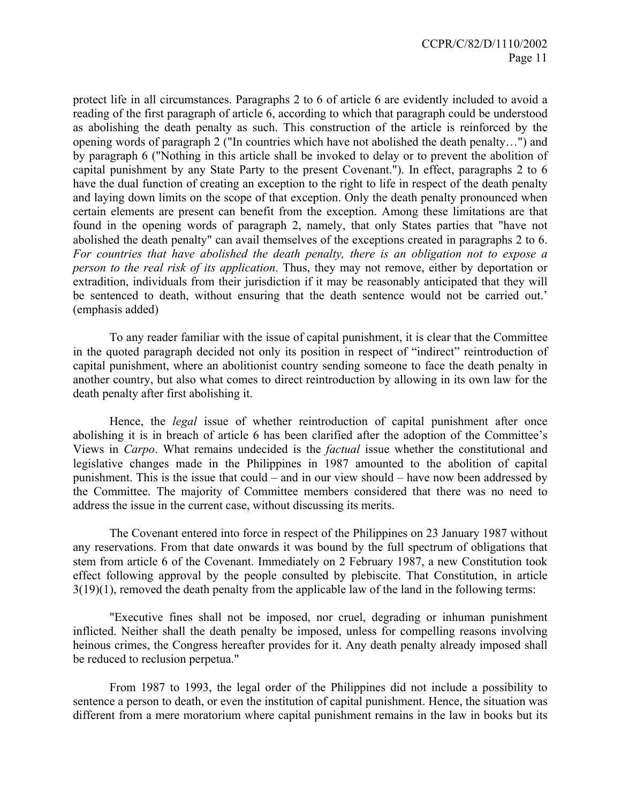protect life in all circumstances. Paragraphs 2 to 6 of article 6 are evidently included to avoid a reading of the first paragraph of article 6, according to which that paragraph could be understood as abolishing the death penalty as such. This construction of the article is reinforced by the opening words of paragraph 2 ("In countries which have not abolished the death penalty…") and by paragraph 6 ("Nothing in this article shall be invoked to delay or to prevent the abolition of capital punishment by any State Party to the present Covenant."). In effect, paragraphs 2 to 6 have the dual function of creating an exception to the right to life in respect of the death penalty and laying down limits on the scope of that exception. Only the death penalty pronounced when certain elements are present can benefit from the exception. Among these limitations are that found in the opening words of paragraph 2, namely, that only States parties that "have not abolished the death penalty" can avail themselves of the exceptions created in paragraphs 2 to 6. *For countries that have abolished the death penalty, there is an obligation not to expose a person to the real risk of its application*. Thus, they may not remove, either by deportation or extradition, individuals from their jurisdiction if it may be reasonably anticipated that they will be sentenced to death, without ensuring that the death sentence would not be carried out.' (emphasis added)

To any reader familiar with the issue of capital punishment, it is clear that the Committee in the quoted paragraph decided not only its position in respect of "indirect" reintroduction of capital punishment, where an abolitionist country sending someone to face the death penalty in another country, but also what comes to direct reintroduction by allowing in its own law for the death penalty after first abolishing it.

Hence, the *legal* issue of whether reintroduction of capital punishment after once abolishing it is in breach of article 6 has been clarified after the adoption of the Committee's Views in *Carpo*. What remains undecided is the *factual* issue whether the constitutional and legislative changes made in the Philippines in 1987 amounted to the abolition of capital punishment. This is the issue that could – and in our view should – have now been addressed by the Committee. The majority of Committee members considered that there was no need to address the issue in the current case, without discussing its merits.

The Covenant entered into force in respect of the Philippines on 23 January 1987 without any reservations. From that date onwards it was bound by the full spectrum of obligations that stem from article 6 of the Covenant. Immediately on 2 February 1987, a new Constitution took effect following approval by the people consulted by plebiscite. That Constitution, in article 3(19)(1), removed the death penalty from the applicable law of the land in the following terms:

 "Executive fines shall not be imposed, nor cruel, degrading or inhuman punishment inflicted. Neither shall the death penalty be imposed, unless for compelling reasons involving heinous crimes, the Congress hereafter provides for it. Any death penalty already imposed shall be reduced to reclusion perpetua."

 From 1987 to 1993, the legal order of the Philippines did not include a possibility to sentence a person to death, or even the institution of capital punishment. Hence, the situation was different from a mere moratorium where capital punishment remains in the law in books but its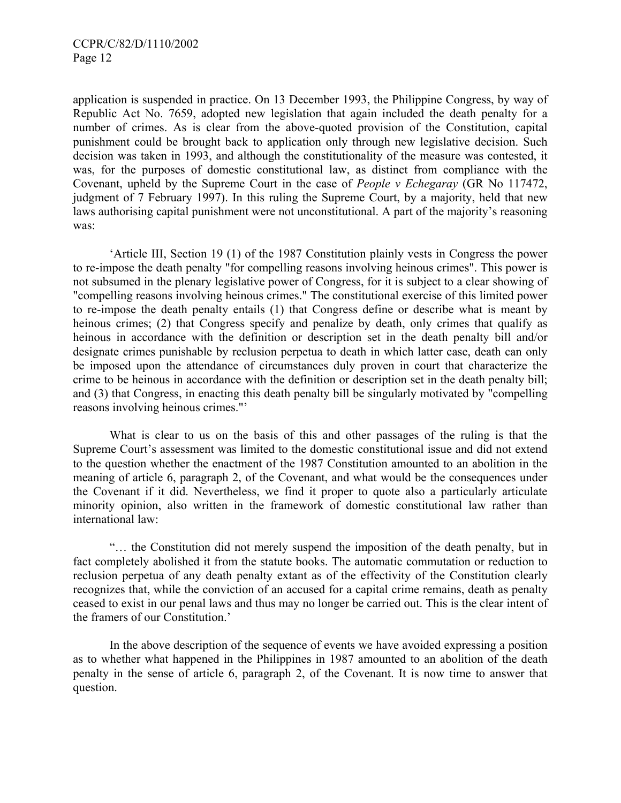application is suspended in practice. On 13 December 1993, the Philippine Congress, by way of Republic Act No. 7659, adopted new legislation that again included the death penalty for a number of crimes. As is clear from the above-quoted provision of the Constitution, capital punishment could be brought back to application only through new legislative decision. Such decision was taken in 1993, and although the constitutionality of the measure was contested, it was, for the purposes of domestic constitutional law, as distinct from compliance with the Covenant, upheld by the Supreme Court in the case of *People v Echegaray* (GR No 117472, judgment of 7 February 1997). In this ruling the Supreme Court, by a majority, held that new laws authorising capital punishment were not unconstitutional. A part of the majority's reasoning was:

 'Article III, Section 19 (1) of the 1987 Constitution plainly vests in Congress the power to re-impose the death penalty "for compelling reasons involving heinous crimes". This power is not subsumed in the plenary legislative power of Congress, for it is subject to a clear showing of "compelling reasons involving heinous crimes." The constitutional exercise of this limited power to re-impose the death penalty entails (1) that Congress define or describe what is meant by heinous crimes; (2) that Congress specify and penalize by death, only crimes that qualify as heinous in accordance with the definition or description set in the death penalty bill and/or designate crimes punishable by reclusion perpetua to death in which latter case, death can only be imposed upon the attendance of circumstances duly proven in court that characterize the crime to be heinous in accordance with the definition or description set in the death penalty bill; and (3) that Congress, in enacting this death penalty bill be singularly motivated by "compelling reasons involving heinous crimes."'

What is clear to us on the basis of this and other passages of the ruling is that the Supreme Court's assessment was limited to the domestic constitutional issue and did not extend to the question whether the enactment of the 1987 Constitution amounted to an abolition in the meaning of article 6, paragraph 2, of the Covenant, and what would be the consequences under the Covenant if it did. Nevertheless, we find it proper to quote also a particularly articulate minority opinion, also written in the framework of domestic constitutional law rather than international law:

 "… the Constitution did not merely suspend the imposition of the death penalty, but in fact completely abolished it from the statute books. The automatic commutation or reduction to reclusion perpetua of any death penalty extant as of the effectivity of the Constitution clearly recognizes that, while the conviction of an accused for a capital crime remains, death as penalty ceased to exist in our penal laws and thus may no longer be carried out. This is the clear intent of the framers of our Constitution.'

 In the above description of the sequence of events we have avoided expressing a position as to whether what happened in the Philippines in 1987 amounted to an abolition of the death penalty in the sense of article 6, paragraph 2, of the Covenant. It is now time to answer that question.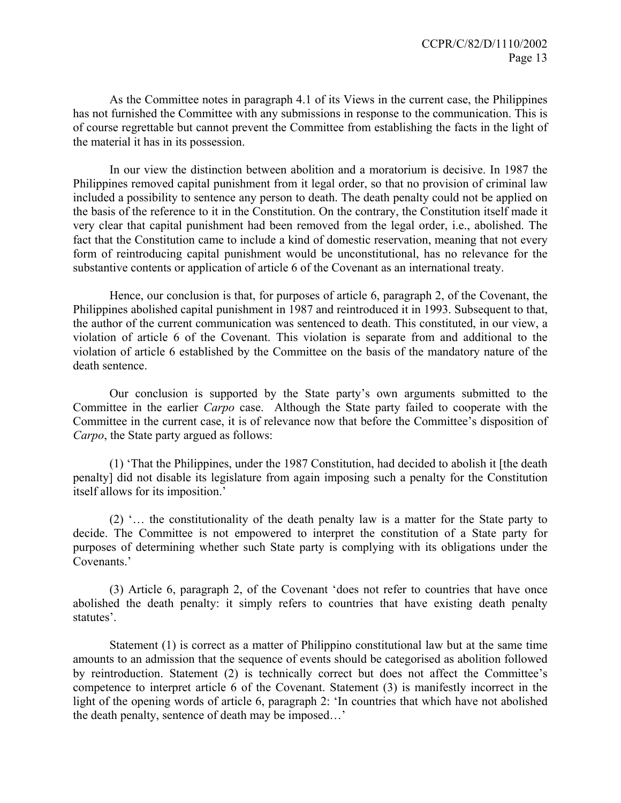As the Committee notes in paragraph 4.1 of its Views in the current case, the Philippines has not furnished the Committee with any submissions in response to the communication. This is of course regrettable but cannot prevent the Committee from establishing the facts in the light of the material it has in its possession.

 In our view the distinction between abolition and a moratorium is decisive. In 1987 the Philippines removed capital punishment from it legal order, so that no provision of criminal law included a possibility to sentence any person to death. The death penalty could not be applied on the basis of the reference to it in the Constitution. On the contrary, the Constitution itself made it very clear that capital punishment had been removed from the legal order, i.e., abolished. The fact that the Constitution came to include a kind of domestic reservation, meaning that not every form of reintroducing capital punishment would be unconstitutional, has no relevance for the substantive contents or application of article 6 of the Covenant as an international treaty.

 Hence, our conclusion is that, for purposes of article 6, paragraph 2, of the Covenant, the Philippines abolished capital punishment in 1987 and reintroduced it in 1993. Subsequent to that, the author of the current communication was sentenced to death. This constituted, in our view, a violation of article 6 of the Covenant. This violation is separate from and additional to the violation of article 6 established by the Committee on the basis of the mandatory nature of the death sentence.

 Our conclusion is supported by the State party's own arguments submitted to the Committee in the earlier *Carpo* case. Although the State party failed to cooperate with the Committee in the current case, it is of relevance now that before the Committee's disposition of *Carpo*, the State party argued as follows:

 (1) 'That the Philippines, under the 1987 Constitution, had decided to abolish it [the death penalty] did not disable its legislature from again imposing such a penalty for the Constitution itself allows for its imposition.'

 (2) '… the constitutionality of the death penalty law is a matter for the State party to decide. The Committee is not empowered to interpret the constitution of a State party for purposes of determining whether such State party is complying with its obligations under the Covenants.'

 (3) Article 6, paragraph 2, of the Covenant 'does not refer to countries that have once abolished the death penalty: it simply refers to countries that have existing death penalty statutes'.

 Statement (1) is correct as a matter of Philippino constitutional law but at the same time amounts to an admission that the sequence of events should be categorised as abolition followed by reintroduction. Statement (2) is technically correct but does not affect the Committee's competence to interpret article 6 of the Covenant. Statement (3) is manifestly incorrect in the light of the opening words of article 6, paragraph 2: 'In countries that which have not abolished the death penalty, sentence of death may be imposed…'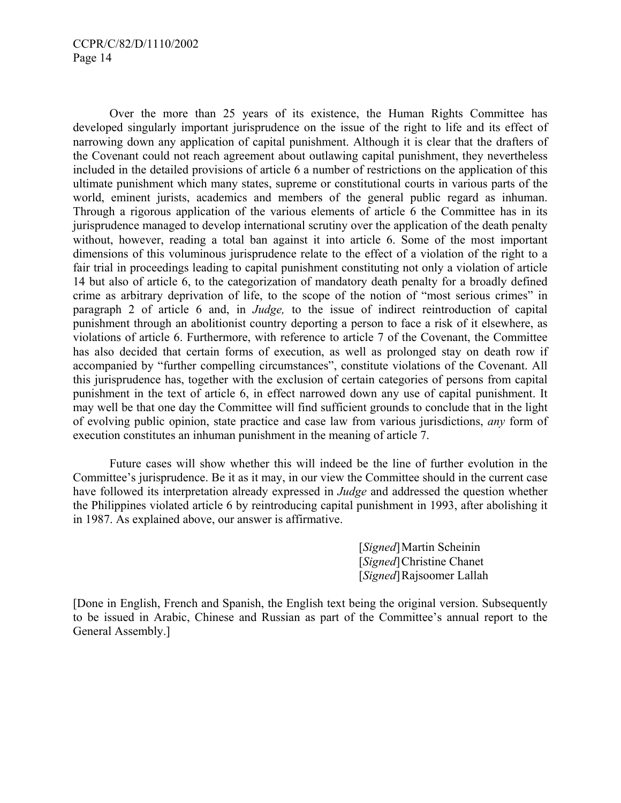Over the more than 25 years of its existence, the Human Rights Committee has developed singularly important jurisprudence on the issue of the right to life and its effect of narrowing down any application of capital punishment. Although it is clear that the drafters of the Covenant could not reach agreement about outlawing capital punishment, they nevertheless included in the detailed provisions of article 6 a number of restrictions on the application of this ultimate punishment which many states, supreme or constitutional courts in various parts of the world, eminent jurists, academics and members of the general public regard as inhuman. Through a rigorous application of the various elements of article 6 the Committee has in its jurisprudence managed to develop international scrutiny over the application of the death penalty without, however, reading a total ban against it into article 6. Some of the most important dimensions of this voluminous jurisprudence relate to the effect of a violation of the right to a fair trial in proceedings leading to capital punishment constituting not only a violation of article 14 but also of article 6, to the categorization of mandatory death penalty for a broadly defined crime as arbitrary deprivation of life, to the scope of the notion of "most serious crimes" in paragraph 2 of article 6 and, in *Judge,* to the issue of indirect reintroduction of capital punishment through an abolitionist country deporting a person to face a risk of it elsewhere, as violations of article 6. Furthermore, with reference to article 7 of the Covenant, the Committee has also decided that certain forms of execution, as well as prolonged stay on death row if accompanied by "further compelling circumstances", constitute violations of the Covenant. All this jurisprudence has, together with the exclusion of certain categories of persons from capital punishment in the text of article 6, in effect narrowed down any use of capital punishment. It may well be that one day the Committee will find sufficient grounds to conclude that in the light of evolving public opinion, state practice and case law from various jurisdictions, *any* form of execution constitutes an inhuman punishment in the meaning of article 7.

 Future cases will show whether this will indeed be the line of further evolution in the Committee's jurisprudence. Be it as it may, in our view the Committee should in the current case have followed its interpretation already expressed in *Judge* and addressed the question whether the Philippines violated article 6 by reintroducing capital punishment in 1993, after abolishing it in 1987. As explained above, our answer is affirmative.

> [*Signed*] Martin Scheinin [*Signed*] Christine Chanet [*Signed*] Rajsoomer Lallah

[Done in English, French and Spanish, the English text being the original version. Subsequently to be issued in Arabic, Chinese and Russian as part of the Committee's annual report to the General Assembly.]